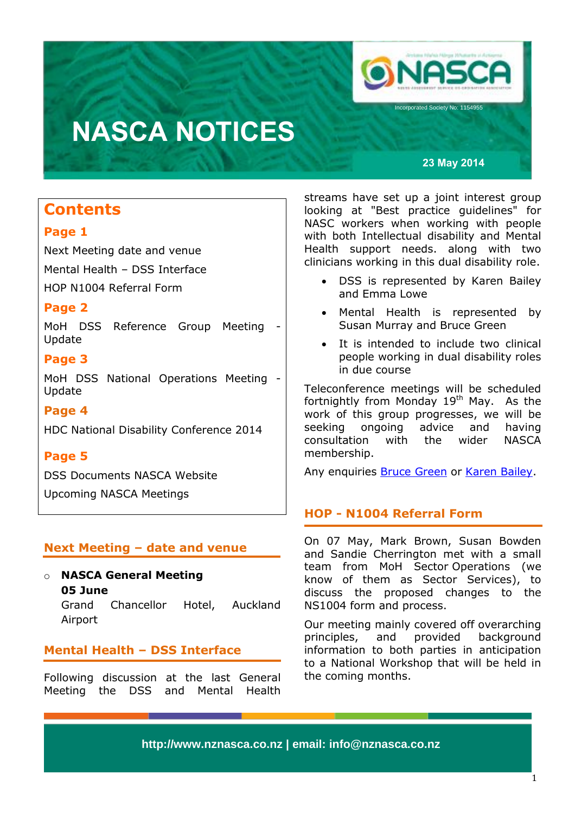

**23 May 2014**

## **Contents**

### **Page 1**

Next Meeting date and venue Mental Health – DSS Interface HOP N1004 Referral Form

## **Page 2**

MoH DSS Reference Group Meeting - Update

### **Page 3**

MoH DSS National Operations Meeting - Update

## **Page 4**

HDC National Disability Conference 2014

## **Page 5**

DSS Documents NASCA Website

Upcoming NASCA Meetings

## **Next Meeting – date and venue**

o **NASCA General Meeting 05 June** Grand Chancellor Hotel, Auckland Airport

## **Mental Health – DSS Interface**

Following discussion at the last General Meeting the DSS and Mental Health

streams have set up a joint interest group looking at "Best practice guidelines" for NASC workers when working with people with both Intellectual disability and Mental Health support needs. along with two clinicians working in this dual disability role.

- DSS is represented by Karen Bailey and Emma Lowe
- Mental Health is represented by Susan Murray and Bruce Green
- It is intended to include two clinical people working in dual disability roles in due course

Teleconference meetings will be scheduled fortnightly from Monday 19<sup>th</sup> May. As the work of this group progresses, we will be seeking ongoing advice and having consultation with the wider NASCA membership.

Any enquiries [Bruce Green](mailto:Bruce.Green@hawkesbaydhb.govt.nz) or [Karen Bailey.](mailto:Karen.bailey@nmdhb.govt.nz)

## **HOP - N1004 Referral Form**

On 07 May, Mark Brown, Susan Bowden and Sandie Cherrington met with a small team from MoH Sector Operations (we know of them as Sector Services), to discuss the proposed changes to the NS1004 form and process.

Our meeting mainly covered off overarching principles, and provided background information to both parties in anticipation to a National Workshop that will be held in the coming months.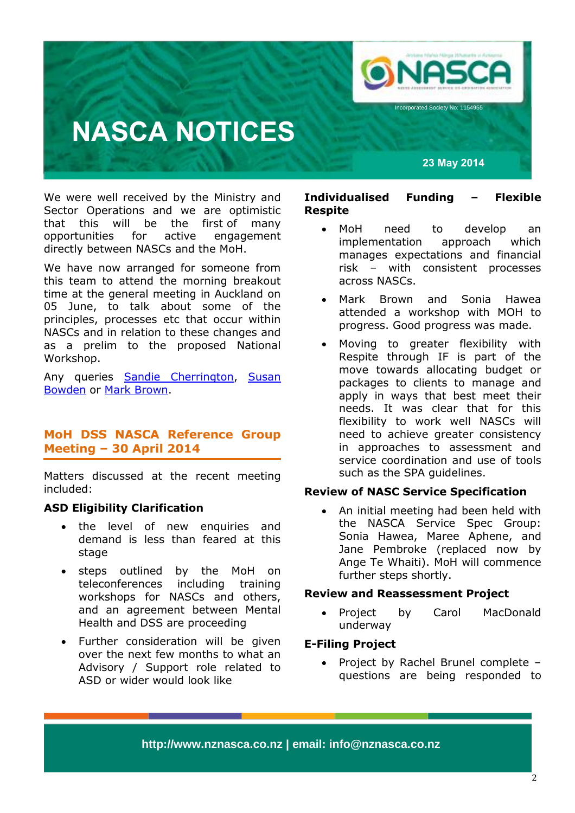

**23 May 2014**

We were well received by the Ministry and Sector Operations and we are optimistic that this will be the first of many opportunities for active engagement directly between NASCs and the MoH.

We have now arranged for someone from this team to attend the morning breakout time at the general meeting in Auckland on 05 June, to talk about some of the principles, processes etc that occur within NASCs and in relation to these changes and as a prelim to the proposed National Workshop.

Any queries [Sandie Cherrington,](mailto:sandie.cherrington@northlanddhb.org.nz) Susan [Bowden](mailto:susan.bowden@careco.org.nz) or [Mark Brown.](mailto:markb@lifeunlimited.net.nz)

## **MoH DSS NASCA Reference Group Meeting – 30 April 2014**

Matters discussed at the recent meeting included:

### **ASD Eligibility Clarification**

- the level of new enquiries and demand is less than feared at this stage
- steps outlined by the MoH on teleconferences including training workshops for NASCs and others, and an agreement between Mental Health and DSS are proceeding
- Further consideration will be given over the next few months to what an Advisory / Support role related to ASD or wider would look like

#### **Individualised Funding – Flexible Respite**

- MoH need to develop an implementation approach which manages expectations and financial risk – with consistent processes across NASCs.
- Mark Brown and Sonia Hawea attended a workshop with MOH to progress. Good progress was made.
- Moving to greater flexibility with Respite through IF is part of the move towards allocating budget or packages to clients to manage and apply in ways that best meet their needs. It was clear that for this flexibility to work well NASCs will need to achieve greater consistency in approaches to assessment and service coordination and use of tools such as the SPA guidelines.

#### **Review of NASC Service Specification**

• An initial meeting had been held with the NASCA Service Spec Group: Sonia Hawea, Maree Aphene, and Jane Pembroke (replaced now by Ange Te Whaiti). MoH will commence further steps shortly.

#### **Review and Reassessment Project**

• Project by Carol MacDonald underway

#### **E-Filing Project**

• Project by Rachel Brunel complete questions are being responded to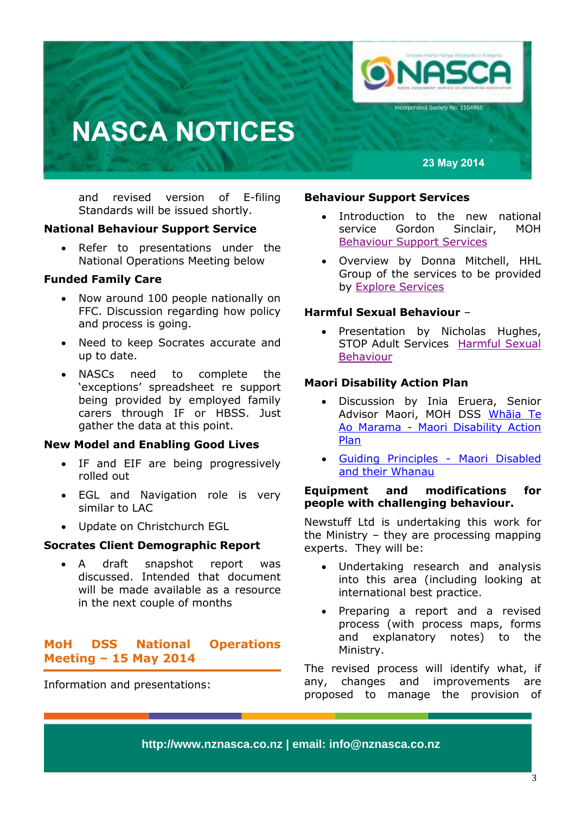

**23 May 2014**

and revised version of E-filing Standards will be issued shortly.

#### **National Behaviour Support Service**

• Refer to presentations under the National Operations Meeting below

#### **Funded Family Care**

- Now around 100 people nationally on FFC. Discussion regarding how policy and process is going.
- Need to keep Socrates accurate and up to date.
- NASCs need to complete the 'exceptions' spreadsheet re support being provided by employed family carers through IF or HBSS. Just gather the data at this point.

#### **New Model and Enabling Good Lives**

- IF and EIF are being progressively rolled out
- EGL and Navigation role is very similar to LAC
- Update on Christchurch EGL

#### **Socrates Client Demographic Report**

 A draft snapshot report was discussed. Intended that document will be made available as a resource in the next couple of months

### **MoH DSS National Operations Meeting – 15 May 2014**

Information and presentations:

#### **Behaviour Support Services**

- Introduction to the new national service Gordon Sinclair, MOH [Behaviour Support Services](http://www.nznasca.co.nz/?wpdmdl=286)
- Overview by Donna Mitchell, HHL Group of the services to be provided by [Explore Services](http://www.nznasca.co.nz/?wpdmdl=287)

#### **Harmful Sexual Behaviour** –

• Presentation by Nicholas Hughes, STOP Adult Services [Harmful Sexual](http://www.nznasca.co.nz/?wpdmdl=285)  [Behaviour](http://www.nznasca.co.nz/?wpdmdl=285)

#### **Maori Disability Action Plan**

- Discussion by Inia Eruera, Senior Advisor Maori, MOH DSS [Whāia](http://www.nznasca.co.nz/?wpdmdl=282) Te Ao Marama - [Maori Disability Action](http://www.nznasca.co.nz/?wpdmdl=282)  [Plan](http://www.nznasca.co.nz/?wpdmdl=282)
- [Guiding Principles -](http://www.nznasca.co.nz/?wpdmdl=283) Maori Disabled [and their Whanau](http://www.nznasca.co.nz/?wpdmdl=283)

#### **Equipment and modifications for people with challenging behaviour.**

Newstuff Ltd is undertaking this work for the Ministry – they are processing mapping experts. They will be:

- Undertaking research and analysis into this area (including looking at international best practice.
- Preparing a report and a revised process (with process maps, forms and explanatory notes) to the Ministry.

The revised process will identify what, if any, changes and improvements are proposed to manage the provision of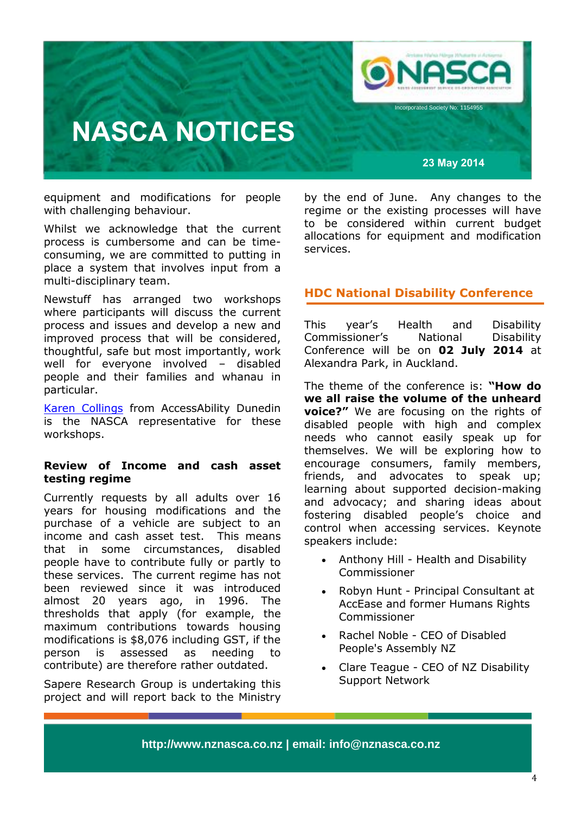

equipment and modifications for people with challenging behaviour.

Whilst we acknowledge that the current process is cumbersome and can be timeconsuming, we are committed to putting in place a system that involves input from a multi-disciplinary team.

Newstuff has arranged two workshops where participants will discuss the current process and issues and develop a new and improved process that will be considered, thoughtful, safe but most importantly, work well for everyone involved – disabled people and their families and whanau in particular.

[Karen Collings](mailto:karen.collings@accessability.org.nz) from AccessAbility Dunedin is the NASCA representative for these workshops.

#### **Review of Income and cash asset testing regime**

Currently requests by all adults over 16 years for housing modifications and the purchase of a vehicle are subject to an income and cash asset test. This means that in some circumstances, disabled people have to contribute fully or partly to these services. The current regime has not been reviewed since it was introduced almost 20 years ago, in 1996. The thresholds that apply (for example, the maximum contributions towards housing modifications is \$8,076 including GST, if the person is assessed as needing to contribute) are therefore rather outdated.

Sapere Research Group is undertaking this project and will report back to the Ministry

by the end of June. Any changes to the regime or the existing processes will have to be considered within current budget allocations for equipment and modification services.

### **HDC National Disability Conference**

This year's Health and Disability Commissioner's National Disability Conference will be on **02 July 2014** at Alexandra Park, in Auckland.

The theme of the conference is: **"How do we all raise the volume of the unheard voice?"** We are focusing on the rights of disabled people with high and complex needs who cannot easily speak up for themselves. We will be exploring how to encourage consumers, family members, friends, and advocates to speak up; learning about supported decision-making and advocacy; and sharing ideas about fostering disabled people's choice and control when accessing services. Keynote speakers include:

- Anthony Hill Health and Disability Commissioner
- Robyn Hunt Principal Consultant at AccEase and former Humans Rights Commissioner
- Rachel Noble CEO of Disabled People's Assembly NZ
- Clare Teague CEO of NZ Disability Support Network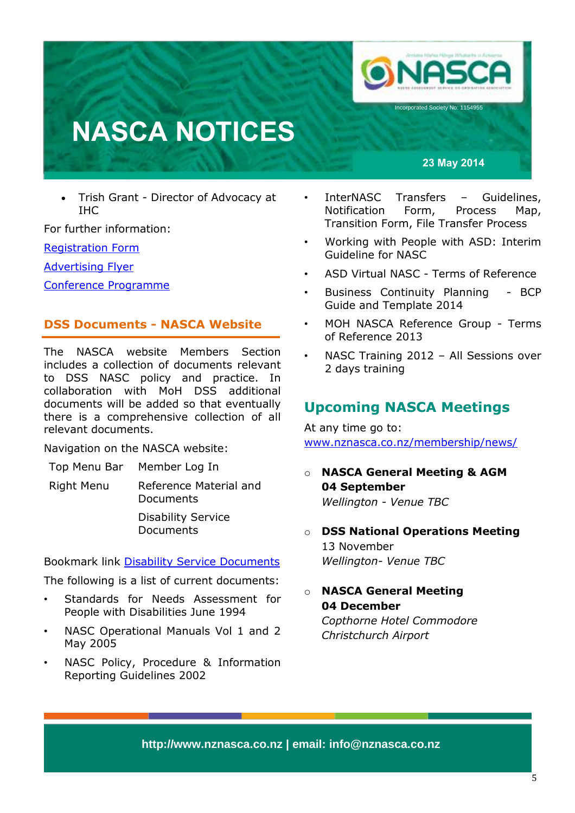

**23 May 2014**

 Trish Grant - Director of Advocacy at IHC

For further information:

[Registration](http://online.hdc.org.nz/events/6w_d7Gd7cE2EEQjRNmco5w) Form

**[Advertising Flyer](http://www.hdc.org.nz/media/260583/2014%20hdc%20disability%20conference%20advertising%20flyer.pdf)** 

[Conference Programme](http://www.hdc.org.nz/about-us/disability/events/4th-national-disability-conference/conference-programme)

## **DSS Documents - NASCA Website**

The NASCA website Members Section includes a collection of documents relevant to DSS NASC policy and practice. In collaboration with MoH DSS additional documents will be added so that eventually there is a comprehensive collection of all relevant documents.

Navigation on the NASCA website:

Top Menu Bar Member Log In

Right Menu Reference Material and Documents

> Disability Service Documents

Bookmark link [Disability Service Documents](http://www.nznasca.co.nz/membership/member-reference-and-documents/younger-peoples-service-documents/)

The following is a list of current documents:

- Standards for Needs Assessment for People with Disabilities June 1994
- NASC Operational Manuals Vol 1 and 2 May 2005
- NASC Policy, Procedure & Information Reporting Guidelines 2002
- InterNASC Transfers Guidelines, Notification Form, Process Map, Transition Form, File Transfer Process
- Working with People with ASD: Interim Guideline for NASC
- ASD Virtual NASC Terms of Reference
- Business Continuity Planning BCP Guide and Template 2014
- MOH NASCA Reference Group Terms of Reference 2013
- NASC Training 2012 All Sessions over 2 days training

## **Upcoming NASCA Meetings**

At any time go to: [www.nznasca.co.nz/membership/news/](http://www.nznasca.co.nz/membership/news/)

- o **NASCA General Meeting & AGM 04 September** *Wellington - Venue TBC*
- o **DSS National Operations Meeting** 13 November *Wellington- Venue TBC*
- o **NASCA General Meeting 04 December** *Copthorne Hotel Commodore Christchurch Airport*